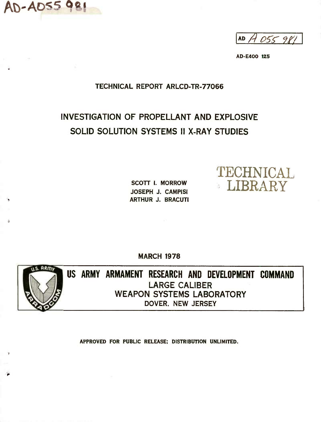**A\Yj\* ^\C/\*^ ^ <sup>1</sup> tatf**

AD  $A$  055 981

**AD-E400 125**

# **TECHNICAL REPORT ARLCD-TR-77066**

# **INVESTIGATION OF PROPELLANT AND EXPLOSIVE SOLID SOLUTION SYSTEMS <sup>11</sup> X-RAY STUDIES**

**SCOTT I. MORROW JOSEPH J. CAMPISI ARTHUR J. BRACUTI**



**MARCH 1978**



**US ARMY ARMAMENT RESEARCH AND DEVELOPMENT COMMAND LARGE CALIBER WEAPON SYSTEMS LABORATORY DOVER. NEW JERSEY**

**APPROVED FOR PUBLIC RELEASE; DISTRIBUTION UNLIMITED.**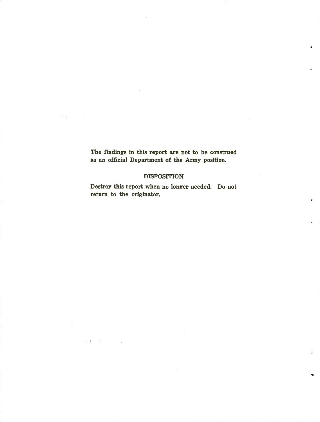**The findings in this report are not to be construed as an official Department of the Army position.**

 $\Box H$ 

 $\begin{array}{lllllllllllllll} \hline 0 & 1 & 0 & 0 & 0 & 0 \\ \hline 0 & 0 & 0 & 0 & 0 & 0 \\ \hline \end{array}$ 

### **DISPOSITION**

**Destroy this report when no longer needed. Do not return to the originator.**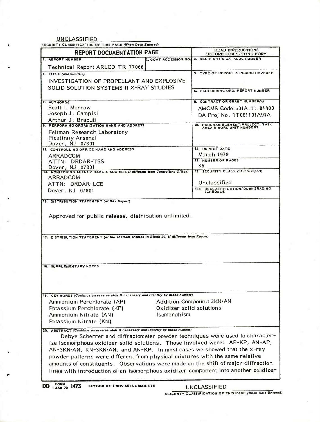UNCLASSIFIED **SECURITY CLASSIFICATION OF THIS PAGE (Wien** *Data Bnlared)*

| <b>REPORT DOCUMENTATION PAGE</b>                                                                                                                                                                                                                                                                                                                                                                                                                                                                  | READ INSTRUCTIONS<br>BEFORE COMPLETING FORM                    |
|---------------------------------------------------------------------------------------------------------------------------------------------------------------------------------------------------------------------------------------------------------------------------------------------------------------------------------------------------------------------------------------------------------------------------------------------------------------------------------------------------|----------------------------------------------------------------|
| 1. REPORT NUMBER                                                                                                                                                                                                                                                                                                                                                                                                                                                                                  | 2. GOVT ACCESSION NO. 3. RECIPIENT'S CATALOG NUMBER            |
| Technical Report ARLCD-TR-77066                                                                                                                                                                                                                                                                                                                                                                                                                                                                   |                                                                |
| 4. TITLE (end Subtitle)                                                                                                                                                                                                                                                                                                                                                                                                                                                                           | S. TYPE OF REPORT & PERIOD COVERED                             |
| INVESTIGATION OF PROPELLANT AND EXPLOSIVE                                                                                                                                                                                                                                                                                                                                                                                                                                                         |                                                                |
| SOLID SOLUTION SYSTEMS II X-RAY STUDIES                                                                                                                                                                                                                                                                                                                                                                                                                                                           |                                                                |
|                                                                                                                                                                                                                                                                                                                                                                                                                                                                                                   | 6. PERFORMING ORG. REPORT NUMBER                               |
|                                                                                                                                                                                                                                                                                                                                                                                                                                                                                                   |                                                                |
| 7. AUTHOR(s)                                                                                                                                                                                                                                                                                                                                                                                                                                                                                      | 8. CONTRACT OR GRANT NUMBER(=)                                 |
| Scott L. Morrow                                                                                                                                                                                                                                                                                                                                                                                                                                                                                   | AMCMS Code 501A.11.84400                                       |
| Joseph J. Campisi                                                                                                                                                                                                                                                                                                                                                                                                                                                                                 | DA Proj No. 1T061101A91A                                       |
| Arthur J. Bracuti<br>9. PERFORMING ORGANIZATION NAME AND ADDRESS                                                                                                                                                                                                                                                                                                                                                                                                                                  | 10. PROGRAM ELEMENT, PROJECT, TASK<br>AREA & WORK UNIT NUMBERS |
|                                                                                                                                                                                                                                                                                                                                                                                                                                                                                                   |                                                                |
| Feltman Research Laboratory<br><b>Picatinny Arsenal</b>                                                                                                                                                                                                                                                                                                                                                                                                                                           |                                                                |
| Dover, NJ 07801                                                                                                                                                                                                                                                                                                                                                                                                                                                                                   |                                                                |
| 11. CONTROLLING OFFICE NAME AND ADDRESS                                                                                                                                                                                                                                                                                                                                                                                                                                                           | 12. REPORT DATE                                                |
| ARRADCOM                                                                                                                                                                                                                                                                                                                                                                                                                                                                                          | March 1978                                                     |
| ATTN: DRDAR-TSS                                                                                                                                                                                                                                                                                                                                                                                                                                                                                   | 13. NUMBER OF PAGES                                            |
| DOVET, NJ 07801<br>14. MONITORING AGENCY NAME & ADDRESS(If different from Controlling Office)                                                                                                                                                                                                                                                                                                                                                                                                     | 36                                                             |
|                                                                                                                                                                                                                                                                                                                                                                                                                                                                                                   | 15. SECURITY CLASS. (of this report)                           |
| ARRADCOM                                                                                                                                                                                                                                                                                                                                                                                                                                                                                          | Unclassified                                                   |
| ATTN: DRDAR-LCE                                                                                                                                                                                                                                                                                                                                                                                                                                                                                   |                                                                |
| Dover, NJ 07801                                                                                                                                                                                                                                                                                                                                                                                                                                                                                   | 156, DECLASSIFICATION/DOWNGRADING<br>SCHEDULE                  |
| Approved for public release, distribution unlimited.<br>17. DISTRIBUTION STATEMENT (of the abstract antered in Block 20, if different from Report)                                                                                                                                                                                                                                                                                                                                                |                                                                |
| 18. SUPPLEMENTARY NOTES                                                                                                                                                                                                                                                                                                                                                                                                                                                                           |                                                                |
|                                                                                                                                                                                                                                                                                                                                                                                                                                                                                                   |                                                                |
| 19. KEY WORDS (Continue on reverse sids if necsessry and identify by block number)                                                                                                                                                                                                                                                                                                                                                                                                                |                                                                |
| Ammonium Perchlorate (AP)                                                                                                                                                                                                                                                                                                                                                                                                                                                                         | Addition Compound 3KN.AN                                       |
| Oxidizer solid solutions<br>Potassium Perchlorate (KP)                                                                                                                                                                                                                                                                                                                                                                                                                                            |                                                                |
| Isomorphism<br>Ammonium Nitrate (AN)                                                                                                                                                                                                                                                                                                                                                                                                                                                              |                                                                |
| Potassium Nitrate (KN)                                                                                                                                                                                                                                                                                                                                                                                                                                                                            |                                                                |
| 20. ABSTRACT (Continue on reverse side if necessary and identify by block number)                                                                                                                                                                                                                                                                                                                                                                                                                 |                                                                |
| Debye Scherrer and diffractometer powder techniques were used to character-<br>ize isomorphous oxidizer solid solutions. Those involved were: AP-KP, AN-AP,<br>AN-3KN.AN, KN-3KN.AN, and AN-KP. In most cases we showed that the x-ray<br>powder patterns were different from physical mixtures with the same relative<br>amounts of constituents. Observations were made on the shift of major diffraction<br>lines with introduction of an isomorphous oxidizer component into another oxidizer |                                                                |
|                                                                                                                                                                                                                                                                                                                                                                                                                                                                                                   |                                                                |

**SECURITY CLASSIFICATION OF THIS PAGE flfl^n** *Data Entarad)*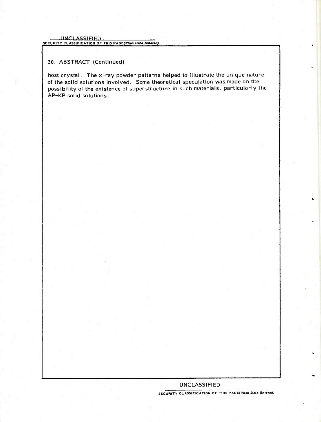SECURITY CLASSIFICATION OF THIS PAGE(When Data Entered)

### 20. ABSTRACT (Continued)

host crystal. The x-ray powder patterns helped to illustrate the unique nature of the solid solutions involved. Some theoretical speculation was made on the possibility of the existence of superstructure in such materials, particularly the AP-KP solid solutions.

### **UNCLASSIFIED**

SECURITY CLASSIFICATION OF THIS PAGE(When Data Entered)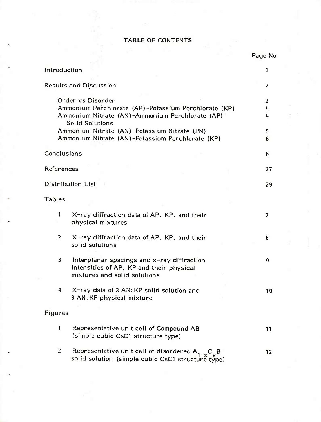# **TABLE OF CONTENTS**

|                                             |                                                                                                                                                                                                             | Page No.              |
|---------------------------------------------|-------------------------------------------------------------------------------------------------------------------------------------------------------------------------------------------------------------|-----------------------|
| Introduction                                |                                                                                                                                                                                                             | 1                     |
| <b>Results and Discussion</b>               |                                                                                                                                                                                                             | 2                     |
| Order vs Disorder<br><b>Solid Solutions</b> | Ammonium Perchlorate (AP)-Potassium Perchlorate (KP)<br>Ammonium Nitrate (AN)-Ammonium Perchlorate (AP)<br>Ammonium Nitrate (AN)-Potassium Nitrate (PN)<br>Ammonium Nitrate (AN)-Potassium Perchlorate (KP) | 2<br>4<br>4<br>5<br>6 |
| Conclusions                                 |                                                                                                                                                                                                             | 6                     |
| References                                  |                                                                                                                                                                                                             | 27                    |
| Distribution List                           |                                                                                                                                                                                                             | 29                    |
| <b>Tables</b>                               |                                                                                                                                                                                                             |                       |
| 1<br>physical mixtures                      | X-ray diffraction data of AP, KP, and their                                                                                                                                                                 | 7                     |
| $\overline{2}$<br>solid solutions           | X-ray diffraction data of AP, KP, and their                                                                                                                                                                 | 8                     |
| 3<br>mixtures and solid solutions           | Interplanar spacings and x-ray diffraction<br>intensities of AP, KP and their physical                                                                                                                      | 9                     |
| 4<br>3 AN, KP physical mixture              | X-ray data of 3 AN: KP solid solution and                                                                                                                                                                   | 10                    |
| Figures                                     |                                                                                                                                                                                                             |                       |
| 1                                           | Representative unit cell of Compound AB<br>(simple cubic CsC1 structure type)                                                                                                                               | 11                    |
| $\mathbf{2}$                                | Representative unit cell of disordered $A_{1-x}C_xB$<br>solid solution (simple cubic CsC1 structure type)                                                                                                   | 12                    |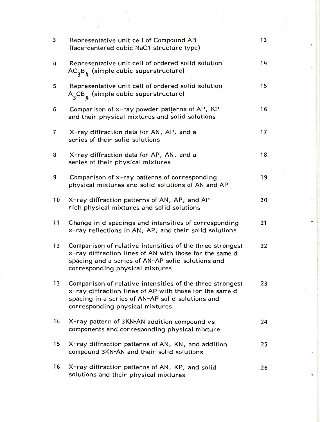| $\overline{\mathbf{3}}$ | Representative unit cell of Compound AB<br>(face-centered cubic NaC1 structure type)                                                                                                                         | 13 |
|-------------------------|--------------------------------------------------------------------------------------------------------------------------------------------------------------------------------------------------------------|----|
| 4                       | Representative unit cell of ordered solid solution<br>$AC3Bn$ (simple cubic superstructure)                                                                                                                  | 14 |
| 5                       | Representative unit cell of ordered solid solution<br>$\mathsf{A}_{\mathsf{q}}\mathsf{CB}_{\mu_\flat}$ (simple cubic superstructure)                                                                         | 15 |
| 6                       | Comparison of x-ray powder patterns of AP, KP<br>and their physical mixtures and solid solutions                                                                                                             | 16 |
| 7                       | X-ray diffraction data for AN, AP, and a<br>series of their solid solutions                                                                                                                                  | 17 |
| 8                       | X-ray diffraction data for AP, AN, and a<br>series of their physical mixtures                                                                                                                                | 18 |
| 9                       | Comparison of x-ray patterns of corresponding<br>physical mixtures and solid solutions of AN and AP                                                                                                          | 19 |
| 10                      | X-ray diffraction patterns of AN, AP, and AP-<br>rich physical mixtures and solid solutions                                                                                                                  | 20 |
| 11                      | Change in d spacings and intensities of corresponding<br>x-ray reflections in AN, AP, and their solid solutions                                                                                              | 21 |
| 12                      | Comparison of relative intensities of the three strongest<br>x-ray diffraction lines of AN with those for the same d<br>spacing and a series of AN-AP solid solutions and<br>corresponding physical mixtures | 22 |
| 13                      | Comparison of relative intensities of the three strongest<br>x-ray diffraction lines of AP with those for the same d<br>spacing in a series of AN-AP solid solutions and<br>corresponding physical mixtures  | 23 |
| 14                      | X-ray pattern of 3KN.AN addition compound vs<br>components and corresponding physical mixture                                                                                                                | 24 |
| 15                      | X-ray diffraction patterns of AN, KN, and addition<br>compound 3KN.AN and their solid solutions                                                                                                              | 25 |
| 16                      | X-ray diffraction patterns of AN, KP, and solid<br>solutions and their physical mixtures                                                                                                                     | 26 |

 $\frac{1}{\sigma} \frac{1}{\sigma} \frac{1}{\sigma} \frac{1}{\sigma} \frac{1}{\sigma} \frac{1}{\sigma} \frac{1}{\sigma} \frac{1}{\sigma} \frac{1}{\sigma} \frac{1}{\sigma} \frac{1}{\sigma} \frac{1}{\sigma} \frac{1}{\sigma} \frac{1}{\sigma} \frac{1}{\sigma} \frac{1}{\sigma} \frac{1}{\sigma} \frac{1}{\sigma} \frac{1}{\sigma} \frac{1}{\sigma} \frac{1}{\sigma} \frac{1}{\sigma} \frac{1}{\sigma} \frac{1}{\sigma} \frac{1}{\sigma} \frac{1}{\sigma} \frac{1}{\sigma} \frac{1$ 

 $\overline{r}$ 

 $\omega$ 

 $\frac{1}{2}$  .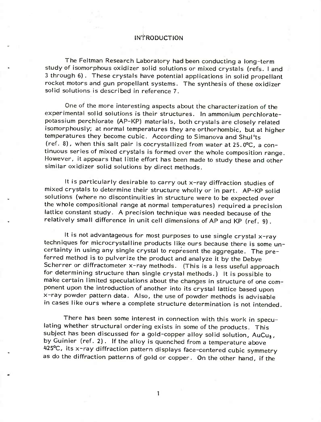### **INTRODUCTION**

The Feltman Research Laboratory had been conducting a long-term study of isomorphous oxidizer solid solutions or mixed crystals (refs. <sup>I</sup> and <sup>3</sup> through 6) . These crystals have potential applications in solid propellant rocket motors and gun propellant systems. The synthesis of these oxidizer solid solutions is described in reference 7.

One of the more interesting aspects about the characterization of the experimental solid solutions is their structures. In ammonium perchloratepotassium perchlorate (AP-KP) materials, both crystals are closely related isomorphously; at normal temperatures they are orthorhombic, but at higher temperatures they become cubic. According to Simanova and Shul'ts (ref. 8), when this salt pair is cocrystallized from water at  $25.0^{\circ}$ C, a continuous series of mixed crystals is formed over the whole composition range. However, it appears that little effort has been made to study these and other similar oxidizer solid solutions by direct methods.

It is particularly desirable to carry out x-ray diffraction studies of mixed crystals to determine their structure wholly or in part. AP-KP solid solutions (where no discontinuities in structure were to be expected over the whole compositional range at normal temperatures) required <sup>a</sup> precision lattice constant study. A precision technique was needed because of the relatively small difference in unit cell dimensions of AP and KP (ref. 9) .

It is not advantageous for most purposes to use single crystal x-ray techniques for microcrystalline products like ours because there is some uncertainty in using any single crystal to represent the aggregate. The preferred method is to pulverize the product and analyze it by the Debye Scherrer or diffractometer x-ray methods. (This is a less useful approach for determining structure than single crystal methods.) It is possible to make certain limited speculations about the changes in structure of one component upon the introduction of another into its crystal lattice based upon x-ray powder pattern data. Also, the use of powder methods is advisable in cases like ours where <sup>a</sup> complete structure determination is not intended.

There has been some interest in connection with this work in speculating whether structural ordering exists in some of the products. This subject has been discussed for a gold-copper alloy solid solution, AuCu<sub>s</sub>, by Guinier (ref. 2) . If the alloy is quenched from <sup>a</sup> temperature above 425°C, its x-ray diffraction pattern displays face-centered cubic symmetry as do the diffraction patterns of gold or copper. On the other hand, if the

 $\mathbf{1}$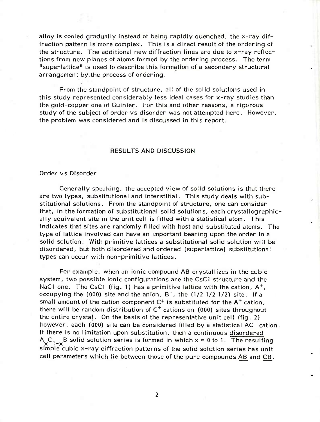alloy is cooled gradually instead of being rapidly quenched, the x-ray diffraction pattern is more complex. This is <sup>a</sup> direct result of the ordering of the structure. The additional new diffraction lines are due to x-ray reflections from new planes of atoms formed by the ordering process. The term "superlattice" is used to describe this formation of <sup>a</sup> secondary structural arrangement by the process of ordering.

From the standpoint of structure, all of the solid solutions used in this study represented considerably less ideal cases for x-ray studies than the gold-copper one of Cuinier. For this and other reasons, <sup>a</sup> rigorous study of the subject of order vs disorder was not attempted here. However, the problem was considered and is discussed in this report.

### RESULTS AND DISCUSSION

### Order vs Disorder

Generally speaking, the accepted view of solid solutions is that there are two types, substitutional and interstitial. This study deals with substitutional solutions. From the standpoint of structure, one can consider that, in the formation of substitutional solid solutions, each crystallographically equivalent site in the unit cell is filled with <sup>a</sup> statistical atom. This indicates that sites are randomly filled with host and substituted atoms. The type of lattice involved can have an important bearing upon the order in <sup>a</sup> solid solution. With primitive lattices <sup>a</sup> substitutional solid solution will be disordered, but both disordered and ordered (superlattice) substitutional types can occur with non-primitive lattices.

For example, when an ionic compound AB crystallizes in the cubic system, two possible ionic configurations are the CsCI structure and the NaC1 one. The CsC1 (fig. 1) has a primitive lattice with the cation,  $A^+$ , occupying the (000) site and the anion,  $B^{\dagger}$ , the (1/2 1/2 1/2) site. If a small amount of the cation component  $C^+$  is substituted for the  $\mathsf{A}^+$  cation, there will be random distribution of C<sup>+</sup> cations on (000) sites throughout the entire crystal. On the basis of the representative unit cell (fig. 2) however, each (000) site can be considered filled by a statistical  $\mathsf{AC}^+$  cation. If there is no limitation upon substitution, then <sup>a</sup> continuous disordered A<sub>NC</sub><sub>1-x</sub> B solid solution series is formed in which  $x = 0$  to 1. The resulting simple cubic x-ray diffraction patterns of the solid solution series has unit cell parameters which lie between those of the pure compounds AB and CB.

 $\overline{2}$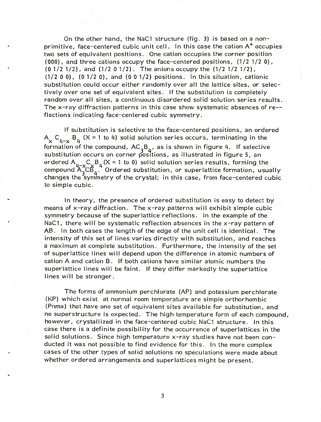On the other hand, the NaCI structure (fig. 3) is based on <sup>a</sup> nonprimitive, face-centered cubic unit cell. In this case the cation  $\mathsf{A}^{+}$  occupies two sets of equivalent positions. One cation occupies the corner position (000), and three cations occupy the face-centered positions, (1/2 1/2 0), (0 1/2 1/2), and (1/2 <sup>0</sup> 1/2) . The anions occupy the (1/2 1/2 1/2),  $(1/2 0 0)$ ,  $(0 1/2 0)$ , and  $(0 0 1/2)$  positions. In this situation, cationic substitution could occur either randomly over all the lattice sites, or selectively over one set of equivalent sites. If the substitution is completely random over all sites, a continuous disordered solid solution series results. The x-ray diffraction patterns in this case show systematic absences of re-flections indicating face-centered cubic symmetry.

If substitution is selective to the face-centered positions, an ordered  $A_x C_{\mu-x} B_\mu$  (X = 1 to 4) solid solution series occurs, terminating in the formation of the compound,  $AC_3B_{\mu}$ , as is shown in figure 4. If selective substitution occurs on corner positions, as illustrated in figure 5, an ordered  $A_{n-\sqrt{C}}B_n$  (X = 1 to 0) solid solution series results, forming the compound  $\mathsf{A}_\mathtt{i}\mathsf{CG}_n$  . Ordered substitution, or superlattice formation, usually changes the symmetry of the crystal; in this case, from face-centered cubic to simple cubic.

In theory, the presence of ordered substitution is easy to detect by means of x-ray diffraction. The x-ray patterns will exhibit simple cubic symmetry because of the superlattice reflections. In the example of the NaC1, there will be systematic reflection absences in the  $x$ -ray pattern of AB. In both cases the length of the edge of the unit cell is identical. The intensity of this set of lines varies directly with substitution, and reaches <sup>a</sup> maximum at complete substitution. Furthermore, the intensity of the set of superlattice lines will depend upon the difference in atomic numbers of cation A and cation B. If both cations have similar atomic numbers the superlattice lines will be faint. If they differ markedly the superlattice lines will be stronger.

The forms of ammonium perchlorate (AP) and potassium perchlorate (KP) which exist at normal room temperature are simple orthorhombic (Pnma) that have one set of equivalent sites available for substitution, and no superstructure is expected. The high temperature form of each compound, however, crystallized in the face-centered cubic NaCI structure. In this case there is <sup>a</sup> definite possibility for the occurrence of superlattices in the solid solutions. Since high temperature x-ray studies have not been conducted it was not possible to find evidence for this. In the more complex cases of the other types of solid solutions no speculations were made about whether ordered arrangements and superlattices might be present.

3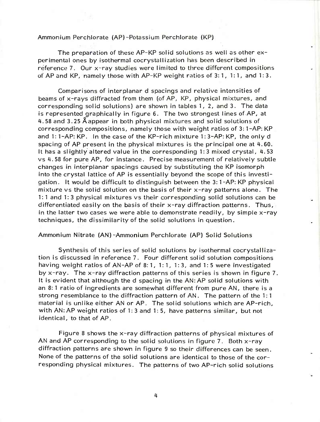### Ammonium Perchlorate (AP)-Potassium Perchlorate (KP)

The preparation of these AP-KP solid solutions as well as other experimental ones by isothermal cocrystallization has been described in reference 7. Our x-ray studies were limited to three different compositions of AP and KP, namely those with AP-KP weight ratios of 3: 1, 1:1, and 1:3.

Comparisons of interplanar d spacings and relative intensities of beams of x-rays diffracted from them (of AP, KP, physical mixtures, and corresponding solid solutions) are shown in tables 1, 2, and 3. The data is represented graphically in figure 6. The two strongest lines of AP, at 4. 58 and 3.25 Aappear in both physical mixtures and solid solutions of corresponding compositions, namely those with weight ratios of 3: 1-AP: KP and 1: 1-AP: KP. In the case of the KP-rich mixture 1: 3-AP: KP, the only d spacing of AP present in the physical mixtures is the principal one at 4. 60. It has <sup>a</sup> slightly altered value in the corresponding 1: <sup>3</sup> mixed crystal, 4. <sup>53</sup> vs 4.58 for pure AP, for instance. Precise measurement of relatively subtle changes in interplanar spacings caused by substituting the KP isomorph into the crystal lattice of AP is essentially beyond the scope of this investigation. It would be difficult to distinguish between the 3: 1-AP: KP physical mixture vs the solid solution on the basis of their x-ray patterns alone. The 1: <sup>1</sup> and 1: <sup>3</sup> physical mixtures vs their corresponding solid solutions can be differentiated easily on the basis of their x-ray diffraction patterns. Thus, in the latter two cases we were able to demonstrate readily, by simple  $x$ -ray techniques, the dissimilarity of the solid solutions in question.

### Ammonium Nitrate (AN)-Ammonium Perchlorate (AP) Solid Solutions

Synthesis of this series of solid solutions by isothermal cocrystallization is discussed in reference 7. Four different solid solution compositions having weight ratios of AN-AP of 8: 1, 1:1, 1: 3, and 1: <sup>5</sup> were investigated by x-ray. The x-ray diffraction patterns of this series is shown in figure 7. It is evident that although the d spacing in the AN: AP solid solutions with an 8: <sup>1</sup> ratio of ingredients are somewhat different from pure AN, there is <sup>a</sup> strong resemblance to the diffraction pattern of AN. The pattern of the 1: <sup>1</sup> material is unlike either AN or AP. The solid solutions which are AP-rich, with AN: AP weight ratios of 1: <sup>3</sup> and 1: 5, have patterns similar, but not identical, to that of AP.

Figure <sup>8</sup> shows the x-ray diffraction patterns of physical mixtures of AN and AP corresponding to the solid solutions in figure 7. Both x-ray diffraction patterns are shown in figure <sup>9</sup> so their differences can be seen. None of the patterns of the solid solutions are identical to those of the corresponding physical mixtures. The patterns of two AP-rich solid solutions

4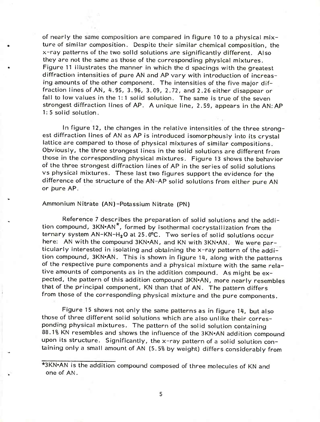of nearly the same composition are compared in figure 10 to a physical  $mix$ ture of similar composition. Despite their similar chemical composition, the x-ray patterns of the two solid solutions are significantly different. Also they are not the same as those of the corresponding physical mixtures. Figure <sup>11</sup> illustrates the manner in which the d spacings with the greatest diffraction intensities of pure AN and AP vary with introduction of increasing amounts of the other component. The intensities of the five major diffraction lines of AN, 4.95, 3.96, 3.09, 2.72, and 2.26 either disappear or fall to low values in the 1:1 solid solution. The same is true of the seven strongest diffraction lines of AP. A unique line, 2.59, appears in theAN:AP 1: <sup>5</sup> solid solution.

In figure 12, the changes in the relative intensities of the three strongest diffraction lines of AN as AP is introduced isomorphously into its crystal lattice are compared to those of physical mixtures of similar compositions. Obviously, the three strongest lines in the solid solutions are different from those in the corresponding physical mixtures. Figure <sup>13</sup> shows the behavior of the three strongest diffraction lines of AP in the series of solid solutions vs physical mixtures. These last two figures support the evidence for the difference of the structure of the AN-AP solid solutions from either pure AN or pure AP.

### Ammonium Nitrate (AN)-Potassium Nitrate (PN)

Reference <sup>7</sup> describes the preparation of solid solutions and the addition compound, 3KN.AN<sup>\*</sup>, formed by isothermal cocrystallization from the ternary system AN-KN-H<sub>2</sub>O at 25.0°C. Two series of solid solutions occur here: AN with the compound 3KN•AN, and KN with 3KN•AN. We were particularly interested in isolating and obtaining the x-ray pattern of the addition compound, 3KN»AN. This is shown in figure 14, along with the patterns of the respective pure components and <sup>a</sup> physical mixture with the same relative amounts of components as in the addition compound. As might be expected, the pattern of this addition compound 3KN«AN, more nearly resembles that of the principal component, KN than that of AN. The pattern differs from those of the corresponding physical mixture and the pure components.

Figure 15 shows not only the same patterns as in figure 14, but also those of three different solid solutions which are also unlike their corresponding physical mixtures. The pattern of the solid solution containing 88.1% KN resembles and shows the influence of the 3KN»AN addition compound upon its structure. Significantly, the x-ray pattern of <sup>a</sup> solid solution containing only <sup>a</sup> small amount of AN (5.5% by weight) differs considerably from

<sup>\*3</sup>KN'AN is the addition compound composed of three molecules of KN and one of AN.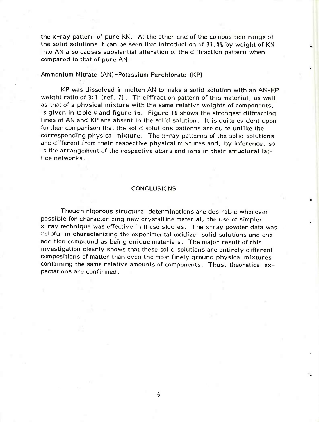the x-ray pattern of pure KN. At the other end of the composition range of the solid solutions it can be seen that introduction of 31.4% by weight of KN into AN also causes substantial alteration of the diffraction pattern when compared to that of pure AN .

### Ammonium Nitrate (AN)-Potassium Perchlorate (KP)

KP was dissolved in molten AN to make <sup>a</sup> solid solution with an AN-KP weight ratio of 3: <sup>1</sup> (ref. 7) . Th diffraction pattern of this material, as well as that of a physical mixture with the same relative weights of components, is given in table <sup>4</sup> and figure 16. Figure <sup>16</sup> shows the strongest diffracting lines of AN and KP are absent in the solid solution. It is quite evident upon further comparison that the solid solutions patterns are quite unlike the corresponding physical mixture. The x-ray patterns of the solid solutions are different from their respective physical mixtures and, by inference, so is the arrangement of the respective atoms and ions in their structural lattice networks.

### **CONCLUSIONS**

Though rigorous structural determinations are desirable wherever possible for characterizing new crystalline material, the use of simpler x-ray technique was effective in these studies. The x-ray powder data was helpful in characterizing the experimental oxidizer solid solutions and one addition compound as being unique materials. The major result of this investigation clearly shows that these solid solutions are entirely different compositions of matter than even the most finely ground physical mixtures containing the same relative amounts of components. Thus, theoretical expectations are confirmed.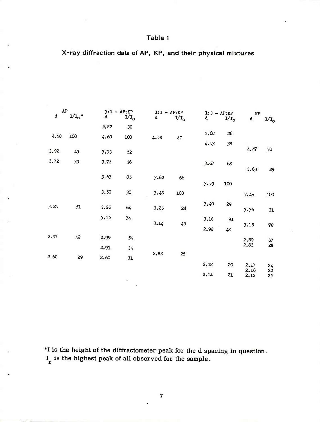X-ray diffraction data of AP, KP, and their physical mixtures

| AP<br>d. | *      | d    | $3:1 - AP:KP$<br>$I/I_{\rm o}$ | $1:1 - AP:KP$<br>d | 1/1 <sub>o</sub> | $1:3 - AP:KP$<br>d | $I/I_0$ | KP<br>d      | $\rm I/I_o$ |
|----------|--------|------|--------------------------------|--------------------|------------------|--------------------|---------|--------------|-------------|
|          |        | 5.82 | 30                             |                    |                  |                    |         |              |             |
| 4.58     | 100    | 4.60 | 100                            | 4.58               | 40               | 5.68               | 26      |              |             |
|          |        |      |                                |                    |                  | 4.53               | 38      |              |             |
| 3.92     | 43     | 3.93 | 52                             |                    |                  |                    |         | 4.47         | 30          |
| 3.72     | 33     | 3.74 | 36                             |                    |                  | 3.67               | 68      |              |             |
|          |        |      |                                |                    |                  |                    |         | 3.63         | 29          |
|          |        | 3.63 | 85                             | 3.62               | 66               |                    | 100     |              |             |
|          |        | 3.50 |                                |                    |                  | 3.53               |         |              |             |
|          |        |      | 30                             | 3.48               | 100              |                    |         | 3.49         | 100         |
| 3.25     | $51\,$ | 3.26 | 64                             | 3.25               | 28               | 3.40               | 29      | 3.36         | 31          |
|          |        | 3.15 | 34                             |                    |                  | 3.18               | 91      |              |             |
|          |        |      |                                | 3.14               | 45               |                    |         | 3.15         | 78          |
|          |        |      |                                |                    |                  | 2.92               | 48      |              |             |
| 2.97     | 42     | 2.99 | 54                             |                    |                  |                    |         | 2.89         | 67          |
|          |        | 2.91 | 34                             |                    |                  |                    |         | 2.83         | 28          |
| 2.60     | 29     | 2.60 | 31                             | 2.88               | 28               |                    |         |              |             |
|          |        |      |                                |                    |                  | 2.18               | 20      | 2.17         | 24          |
|          |        |      |                                |                    |                  | 2.14               | 21      | 2.16<br>2.12 | 22<br>25    |
|          |        |      |                                |                    |                  |                    |         |              |             |

\*I is the height of the diffractometer peak for the d spacing in question.  $I_r$  is the highest peak of all observed for the sample.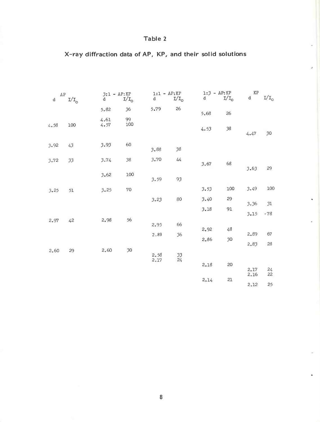X-ray diffraction data of AP, KP, and their solid solutions

| AP<br>d | $I/I$ <sub>o</sub> | $3:1 - AP:KP$<br>d | $I/I_{\odot}$ | $1:1 - AP:KP$<br>d | $I/I_{\odot}$         | $1:3 - AP:KP$<br>d | $I/I_0$ | KP<br>$\mathtt{d}$ | $\rm{I/I}_\odot$ |
|---------|--------------------|--------------------|---------------|--------------------|-----------------------|--------------------|---------|--------------------|------------------|
|         |                    | 5.82               | 36            | 5.79               | 26                    | 5.68               | 26      |                    |                  |
| 4.58    | 100                | 4.61<br>4.57       | 99<br>100     |                    |                       | 4.53               | 38      | 4.47               | 30               |
| 3.92    | 43                 | 3.93               | 60            | 3.88               | 38                    |                    |         |                    |                  |
| 3.72    | 33                 | 3.74               | 38            | 3.70               | 44                    | 3.67               | 68      | 3.63               | 29               |
|         |                    | 3.62               | 100           | 3.59               | 93                    |                    |         |                    |                  |
| 3.25    | 51                 | 3.25               | 70            |                    |                       | 3.53               | 100     | 3.49               | 100              |
|         |                    |                    |               | 3.23               | 80                    | 3.40               | 29      |                    |                  |
|         |                    |                    |               |                    |                       | 3.18               | 91      | 3.36<br>3.15       | 31<br>.78        |
| 2.97    | 42                 | 2.98               | 56            | 2.95               | 66                    | 2.92               | 48      |                    |                  |
|         |                    |                    |               | 2.89               | 36                    |                    |         | 2.89               | 67               |
| 2.60    | 29                 | 2.60               | 30            |                    |                       | 2.86               | 30      | 2.83               | 28               |
|         |                    |                    |               | 2.58<br>2.17       | 33<br>$\overline{24}$ |                    |         |                    |                  |
|         |                    |                    |               |                    |                       | 2.18               | 20      | 2.17<br>2.16       | 24<br>22         |
|         |                    |                    |               |                    |                       | 2.14               | $21\,$  | 2.12               | 25               |

 $\ddot{\phantom{0}}$ 

 $\Delta$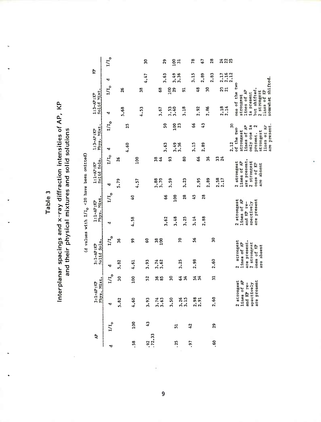# Interplanar spacings and x-ray diffraction intensities of AP, KP<br>and their physical mixtures and solid solutions

|                                               |                                     | 1/1 <sub>o</sub>                                |      |      |      | 30   |                  | 29            |                 | 100<br>$\Xi$          |            |            | 78       | 5             |                | 28             |                  | <b>225</b>                 |      |                                      |             |              |                           |             |                          |                   |
|-----------------------------------------------|-------------------------------------|-------------------------------------------------|------|------|------|------|------------------|---------------|-----------------|-----------------------|------------|------------|----------|---------------|----------------|----------------|------------------|----------------------------|------|--------------------------------------|-------------|--------------|---------------------------|-------------|--------------------------|-------------------|
|                                               | Þ                                   | ٣                                               |      |      |      | 4.47 |                  | 3.63          |                 | 3.36                  |            |            | 3.15     | 2.89          |                | 2.83           |                  | $2.17$<br>$2.16$<br>$2.12$ |      |                                      |             |              |                           |             |                          |                   |
|                                               |                                     | 1/1 <sub>o</sub>                                | 26   |      | 38   |      |                  | 68            | $\frac{8}{1}$   | 29                    | ವ          |            |          | $\frac{8}{4}$ | $\overline{3}$ |                |                  | ຂີ້                        |      |                                      |             |              |                           |             |                          |                   |
|                                               | Solid Mixt<br>$1:3-\Delta P$ : $KP$ | უ                                               | 5.68 |      | 4.53 |      |                  | 3.67          | 3.53            | 3.40                  | 3.18       |            |          | 2.92          | 2.86           |                | 2.18             | 2.14                       |      | one of the two                       | strongest   | lines of AP  | but shifted<br>is present | 2 strongest | lines of KP              | somewhat shifted. |
|                                               |                                     | 1/1 <sub>o</sub>                                |      | 25   |      |      |                  | S             |                 | $\frac{8}{100}$<br>23 |            |            | 8        | 3             |                |                |                  |                            | 30   |                                      |             |              | Ź                         |             |                          |                   |
|                                               | Phys. Mixt<br>$1:3-\Lambda P$ : KP  | ಌ                                               |      | 4.60 |      |      |                  | 3.63          |                 | 3.36                  |            |            | 3.15     | 2.89          |                |                |                  |                            | 2.12 | of the two                           | strongest   | lines of AP  | only one is               | present.    | lines of KP<br>strongest | are present.      |
|                                               |                                     | $L/L_0$                                         | 26   |      | 500  |      | 38               | $\frac{4}{3}$ | $\frac{3}{2}$   |                       | 80         |            |          | 86            | $\frac{8}{3}$  |                | 33 <sup>4</sup>  |                            |      |                                      |             |              |                           |             |                          |                   |
|                                               | Solid Soln.<br>$1:1-AP$ : KP        | ಕ                                               | 5.79 |      | 4.57 |      | $3.38$<br>$3.70$ |               | 3.59            |                       | 3, 23      |            |          | 2.95          | 2.89           |                | $2.58$<br>$2.17$ |                            |      | 2 strongest                          | lines of AP | are present. | 2 strongest               | ones of KP  | are absent               |                   |
|                                               |                                     | $I/I_o$                                         |      | Gł   |      |      |                  |               | 8               | 500                   | 28         |            | 45       | 28            |                |                |                  |                            |      |                                      |             |              |                           |             |                          |                   |
| (d values with $I/I_0$ <20 have been omitted) | $1:1-AP:RP$<br>$Thus. Mark.$        | უ                                               |      | 4.58 |      |      |                  |               | 3.62            | 3.48                  | 3.25       |            | 3.14     | 2.88          |                |                |                  |                            |      | 2 strongest                          | lines of AP | and KP re-   | spectively                | are present |                          |                   |
|                                               |                                     | $L/T$ o                                         | 36   | S,   |      | S    | $\frac{38}{100}$ |               |                 |                       | 20         |            | 56       |               |                | g              |                  |                            |      |                                      |             |              |                           |             |                          |                   |
|                                               | Solid Soln<br>$3:1-M$ : $RP$        | ಌ                                               | 5.82 | 4.61 |      | 3.93 | $3.74$<br>$3.62$ |               |                 |                       | 3.25       |            | 2.98     |               |                | 2.60           |                  |                            |      | strongest<br>$\overline{\mathbf{r}}$ | lines of AP | are present. | 2 strongest               | ones of KP  | are absent               |                   |
|                                               |                                     | 1/1 <sub>o</sub>                                | 30   | 100  |      | 52   |                  | 35            | $\overline{30}$ |                       | <b>\$4</b> |            | 54<br>34 |               |                | $\overline{5}$ |                  |                            |      |                                      |             |              |                           |             |                          |                   |
|                                               | Phys. Mixt.<br>$3:1-AP:KP$          | ٣                                               | .82  | 4.60 |      | 3.93 | 3.74             | 3.63          | 3.50            |                       | 3.15       |            |          | 2.98          |                | 2.60           |                  |                            |      | 2 strongest                          | lines of AP | and KP re-   | spectively                | are present |                          |                   |
|                                               |                                     | a $I/I_0$<br>$.58$ 1.00<br>$.32$ 43<br>$.72.33$ |      |      |      |      |                  |               |                 | 51                    |            | 42         |          |               |                | 29             |                  |                            |      |                                      |             |              |                           |             |                          |                   |
|                                               |                                     |                                                 |      |      |      |      |                  |               |                 | $\cdot$ <sup>25</sup> |            | <b>16.</b> |          |               |                | .60            |                  |                            |      |                                      |             |              |                           |             |                          |                   |

 $\bullet$ 

9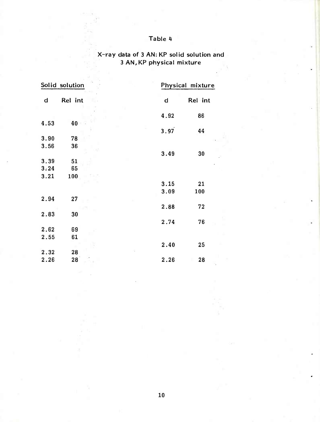# X-ray data of <sup>3</sup> AN: KP solid solution and <sup>3</sup> AN,KP physical mixture

|      | Solid solution |             | Physical mixture |
|------|----------------|-------------|------------------|
| d    | Rel int        | $\mathbf d$ | Rel int          |
|      |                | 4.92        | 86               |
| 4.53 | 40             |             |                  |
|      |                | 3.97        | 44               |
| 3.90 | 78             |             |                  |
| 3.56 | 36             |             |                  |
|      |                | 3.49        | 30               |
| 3.39 | 51             |             |                  |
| 3:24 | 65             |             |                  |
| 3.21 | 100            |             |                  |
|      |                | 3.15        | 21               |
|      |                | 3.09        | 100              |
| 2.94 | 27             |             |                  |
|      |                | 2.88        | 72               |
| 2.83 | 30             |             |                  |
|      |                |             |                  |
|      |                | 2.74        | 76               |
| 2.62 | 69             |             |                  |
| 2.55 | 61             |             |                  |
|      |                | 2.40        | 25               |
| 2.32 | 28             |             |                  |
| 2.26 | 28             | 2.26        | 28               |
|      |                |             |                  |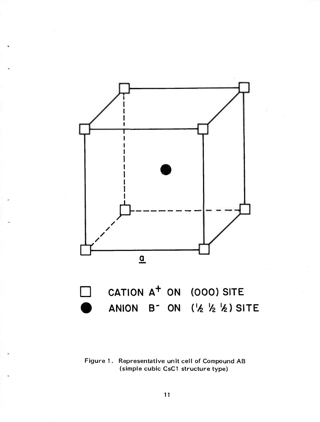

Figure 1. Representative unit cell of Compound AB (simple cubic CsCl structure type)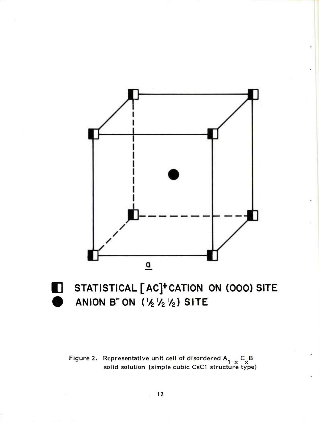

 $\blacksquare$ 

# $S$ **TATISTICAL** [AC]<sup>+</sup>CATION ON (000) SITE **ANION B"ON C^'/z'/z) SITE**

Figure 2. Representative unit cell of disordered  $A_{1}$  C<sub>2</sub>B solid solution (simple cubic CsCI structure type)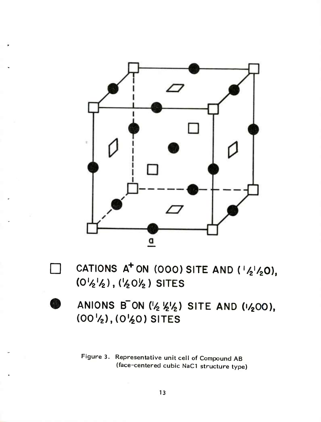

CATIONS A<sup>+</sup> ON (000) SITE AND ( $\frac{1}{2}$  $\frac{1}{2}$ 0),  $(0^{1}/_{2}^{1}/_{2})$ ,  $(1/_{2}0/_{2})$  SITES

ANIONS BON (1/2 1/2) SITE AND (1/200), (00 1/2), (0 1/20) SITES

Figure 3. Representative unit cell of Compound AB (face-centered cubic NaC1 structure type)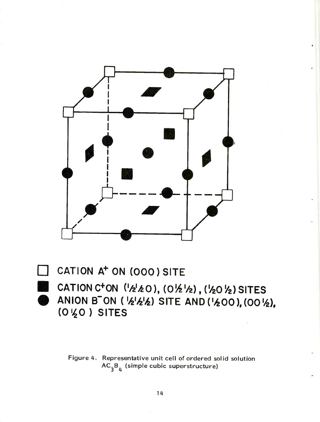

CATION A<sup>+</sup> ON (000) SITE CATION C<sup>+</sup>ON  $('/2' k 0)$ ,  $(0\frac{1}{2}$  $/2)$ ,  $('20\frac{1}{2})$  SITES ANION B ON (1/21/21/2) SITE AND (1/200), (001/2), (0½0) SITES

> Figure 4. Representative unit cell of ordered solid solution  $AC_3B_{\mu}$  (simple cubic superstructure)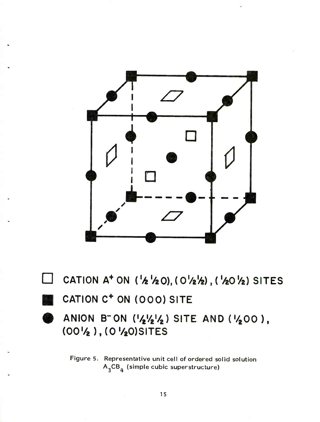

**D CATION <sup>A</sup> <sup>+</sup> ON (** *x k* **VzO), (O'/a'/fe), ('yfeO '/z) SITES CATION C <sup>+</sup>ON (OOO) SITE ANION B-ON C/a'V/a) SITE AND C/aOO), (OO'/aJ.CO'/aOJSITES**

> Figure 5. Representative unit cell of ordered solid solution  $A_3CB_\mu$  (simple cubic superstructure)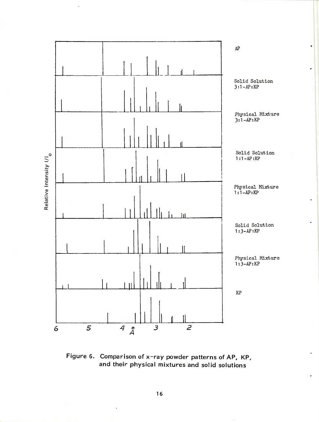

Figure 6. Comparison of x-ray powder patterns of AP, KP, and their physical mixtures and solid solutions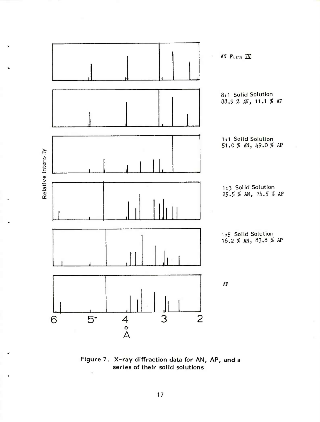

Figure 7. X-ray diffraction data for AN, AP, and a series of their solid solutions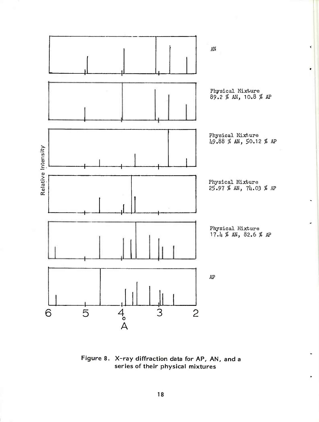

∢

Figure 8. X-ray diffraction data for AP, AN, and a series of their physical mixtures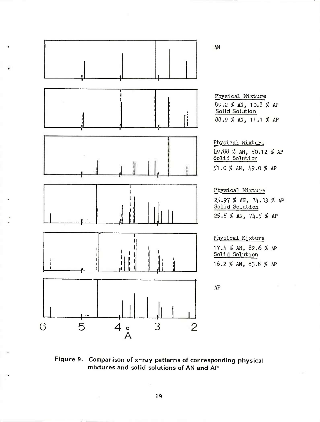

Figure 9. Comparison of x-ray patterns of corresponding physical mixtures and solid solutions of AN and AP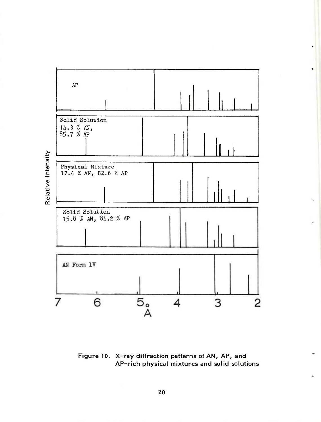

Figure 10. X-ray diffraction patterns of AN, AP, and AP-rich physical mixtures and solid solutions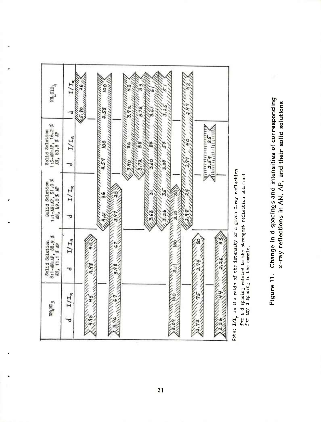

| $I/I_R$<br>98<br>98<br>᠊ᢦ<br>$LI_R$ | ъ    | $I/I_R$ | n aa aan ah maanaan maanaan ah ah ah<br>aannaacaann<br>I/I <sub>R</sub><br><b>DO</b><br>36<br>4.57<br>ъ | $I/T_{\rm R}$<br>00<br>aaaaaaaaaa<br>mun<br>3.92<br>25.80<br>4.58 |
|-------------------------------------|------|---------|---------------------------------------------------------------------------------------------------------|-------------------------------------------------------------------|
|                                     |      |         |                                                                                                         |                                                                   |
|                                     |      |         |                                                                                                         |                                                                   |
|                                     |      |         |                                                                                                         |                                                                   |
|                                     |      |         |                                                                                                         |                                                                   |
|                                     |      |         |                                                                                                         |                                                                   |
|                                     |      |         |                                                                                                         |                                                                   |
| o                                   | ol o |         |                                                                                                         |                                                                   |
|                                     |      |         |                                                                                                         |                                                                   |
| 57                                  |      |         |                                                                                                         |                                                                   |
|                                     |      |         |                                                                                                         |                                                                   |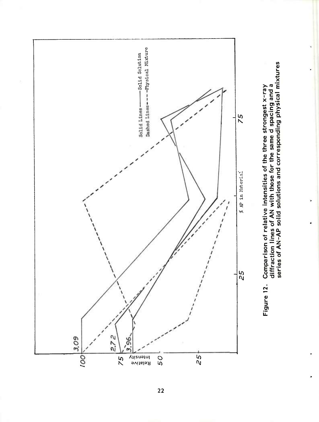



 $\overline{22}$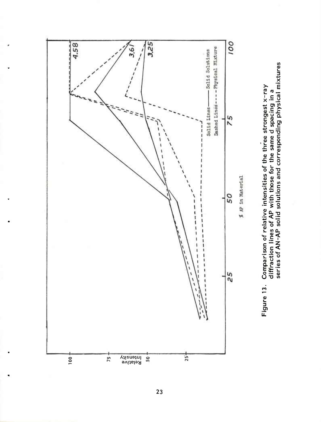

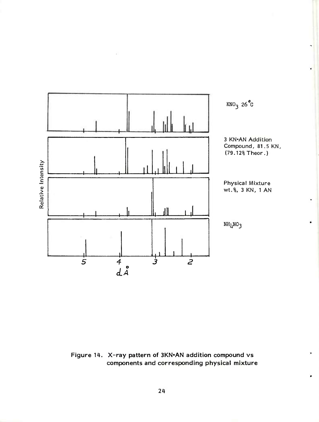

Figure 14. X-ray pattern of 3KN.AN addition compound vs components and corresponding physical mixture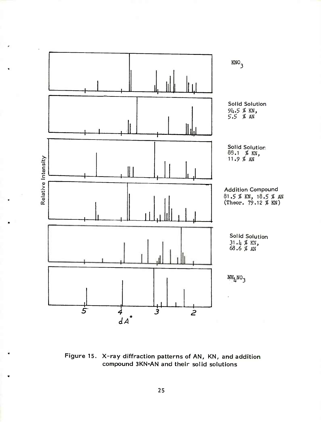

Figure 15. X-ray diffraction patterns of AN, KN, and addition compound 3KN\*AN and their solid solutions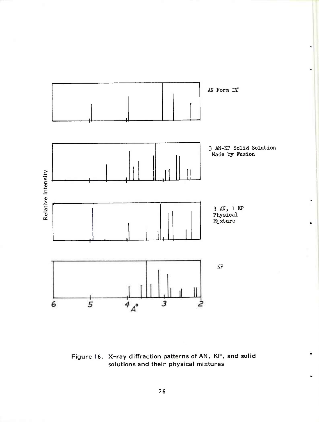

y

 $\bullet$ 

Figure 16. X-ray diffraction patterns of AN, KP, and solid solutions and their physical mixtures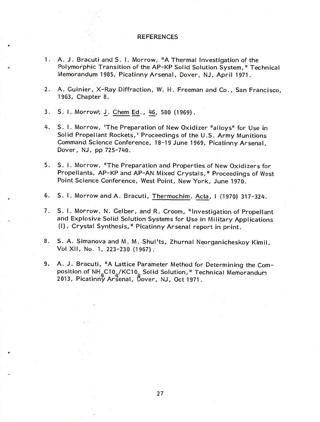### REFERENCES

- 1. A. J. Bracuti and S. I. Morrow, "A Thermal Investigation of the Polymorphic Transition of the AP-KP Solid Solution System," Technical Memorandum 1985, Picatinny Arsenal, Dover, NJ, April 1971.
- 2. A. Cuinier, X-Ray Diffraction, W. H. Freeman and Co., San Francisco, 1963, Chapter 8.
- 3. S. I. Morrow, J. Chem Ed., 46, 580 (1969).
- 4. S. 1. Morrow, 'The Preparation of New Oxidizer "alloys" for Use in Solid Propellant Rockets,' Proceedings of the U.S. Army Munitions Command Science Conference, 18-19 June 1969, Picatinny Arsenal, Dover, NJ, pp 725-740.
- 5. S.I. Morrow, "The Preparation and Properties of New Oxidizers for Propellants, AP-KP and AP-AN Mixed Crystals," Proceedings of West Point Science Conference, West Point, New York, June 1970.
- 6. S. I. Morrow and A. Bracuti, Thermochim. Acta, <sup>I</sup> (1970) 317-324.
- 7. S. I. Morrow, N. Celber, and R. Croom, "Investigation of Propellant and Explosive Solid Solution Systems for Use in Military Applications (1), Crystal Synthesis," Picatinny Arsenal report in print.
- 8. S. A. Simanova and M. M. Shul'ts, Zhurnal Neorganicheskoy Kimil, Vol XII, No. 1, 223-230 (1967).
- 9. A. J. Bracuti, "A Lattice Parameter Method for Determining the Composition of NH<sub>,I</sub>C10<sub>,I</sub>/KC10<sub>,I</sub> Solid Solution," Technical Memorandum 2013, Picatinny Arsenal, Öover, NJ, Oct 1971.

27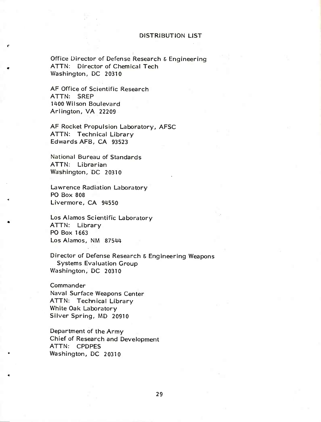### DISTRIBUTION LIST

Office Director of Defense Research & Engineering ATTN: Director of Chemical Tech Washington, DC 20310

AF Office of Scientific Research ATTN: SREP 1400 Wilson Boulevard Arlington, VA 22209

AF Rocket Propulsion Laboratory, AFSC ATTN: Technical Library Edwards AFB, CA 93523

National Bureau of Standards ATTN: Librarian Washington, DC 20310

Lawrence Radiation Laboratory PO Box 808 Livermore, CA 94550

Los Alamos Scientific Laboratory ATTN: Library PO Box 1663 Los Alamos, NM 87544

Director of Defense Research & Engineering Weapons Systems Evaluation Croup Washington, DC 20310

**Commander** Naval Surface Weapons Center ATTN: Technical Library White Oak Laboratory Silver Spring, MD 20910

Department of the Army Chief of Research and Development ATTN: CPDPES Washington, DC 20310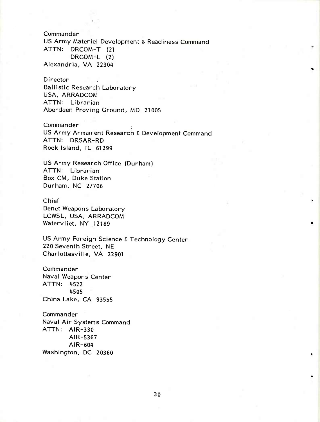**Commander** US Army Materiel Development & Readiness Command ATTN: DRCOM-T (2) DRCOM-L (2) Alexandria, VA 22304

«

Director Ballistic Research Laboratory

USA, ARRADCOM ATTN: Librarian Aberdeen Proving Ground, MD 21005

**Commander** US Army Armament Research & Development Command ATTN: DRSAR-RD Rock Island, IL 61299

US Army Research Office (Durham) ATTN: Librarian Box CM, Duke Station Durham, NC 27706

### Chief

Benet Weapons Laboratory LCWSL, USA, ARRADCOM Watervliet, NY 12189

US Army Foreign Science & Technology Center 220 Seventh Street, NE Charlottesville, VA 22901

Commander Naval Weapons Center ATTN: 4522 4505 China Lake, CA 93555

**Commander** Naval Air Systems Command ATTN: AIR-330 AIR-5367 AIR-604 Washington, DC 20360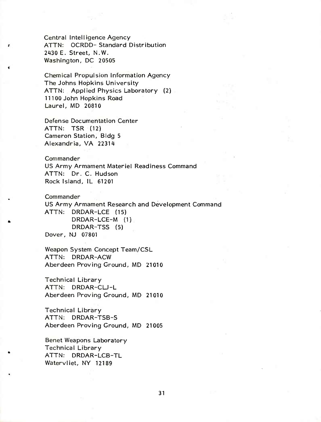Central Intelligence Agency ATTN: OCRDD- Standard Distribution 2430 E. Street, N.W. Washington, DC 20505

Chemical Propulsion Information Agency The Johns Hopkins University ATTN: Applied Physics Laboratory (2) 11100 John Hopkins Road Laurel, MD 20810

Defense Documentation Center ATTN: TSR (12) Cameron Station, Bldg <sup>5</sup> Alexandria, VA 22314

Commander

US Army Armament Materiel Readiness Command ATTN: Dr. C. Hudson Rock Island, IL 61201

**Commander** US Army Armament Research and Development Command ATTN: DRDAR-LCE (15) DRDAR-LCE-M (1) DRDAR-TSS (5) Dover, NJ 07801

Weapon System Concept Team/CSL ATTN: DRDAR-ACW Aberdeen Proving Ground, MD 21010

Technical Library ATTN: DRDAR-CU-L Aberdeen Proving Ground, MD 21010

Technical Library ATTN: DRDAR-TSB-S Aberdeen Proving Ground, MD 21005

Benet Weapons Laboratory Technical Library ATTN: DRDAR-LCB-TL Watervliet, NY 12189